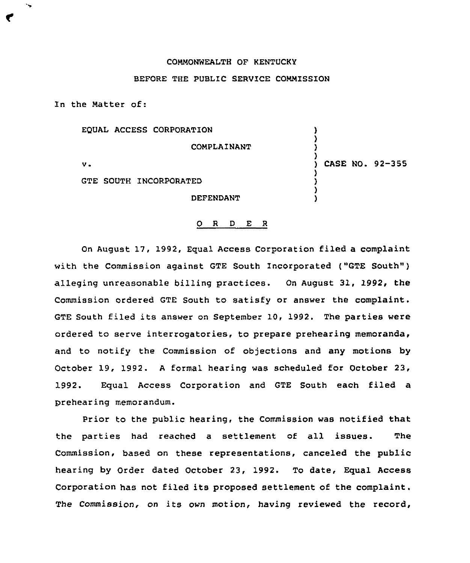## COMMONWEALTH OF KENTUCKY

## BEFORE THE PUBLIC SERVICE COMMISSION

In the Matter of:

| EQUAL ACCESS CORPORATION      |                 |
|-------------------------------|-----------------|
| COMPLAINANT                   |                 |
| v.                            | CASE NO. 92-355 |
| <b>GTE SOUTH INCORPORATED</b> |                 |
| DEFENDANT                     |                 |

## 0 <sup>R</sup> <sup>D</sup> E <sup>R</sup>

On August 17, 1992, Equal Access Corporation filed a complaint with the Commission against GTE South Incorporated ("GTE South" ) alleging unreasonable billing practices. On August 31, 1992, the Commission ordered GTE South to satisfy or answer the complaint. GTE South filed its answer on September 10, 1992. The parties were ordered to serve interrogatories, to prepare prehearing memoranda, and to notify the Commission of objections and any motions by October 19, 1992. <sup>A</sup> formal hearing was scheduled for October 23, 1992. Equal Access Corporation and GTE South each filed a prehearing memorandum.

Prior to the public hearing, the Commission was notified that the parties had reached a settlement of all issues. The Commission, based on these representations, canceled the public hearing by Order dated October 23, 1992. To date, Equal Access Corporation has not filed its proposed settlement of the complaint. The Commission, on its own motion, having reviewed the record,